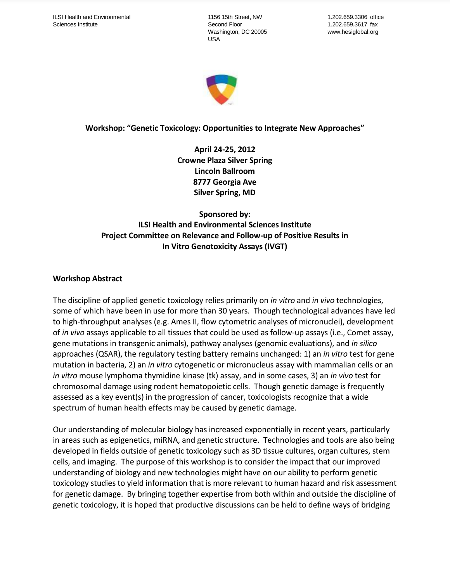1156 15th Street, NW Second Floor Washington, DC 20005 USA

1.202.659.3306 office 1.202.659.3617 fax www.hesiglobal.org



# **Workshop: "Genetic Toxicology: Opportunities to Integrate New Approaches"**

**April 24-25, 2012 Crowne Plaza Silver Spring Lincoln Ballroom 8777 Georgia Ave Silver Spring, MD**

# **Sponsored by: ILSI Health and Environmental Sciences Institute Project Committee on Relevance and Follow-up of Positive Results in In Vitro Genotoxicity Assays (IVGT)**

## **Workshop Abstract**

The discipline of applied genetic toxicology relies primarily on *in vitro* and *in vivo* technologies, some of which have been in use for more than 30 years. Though technological advances have led to high-throughput analyses (e.g. Ames II, flow cytometric analyses of micronuclei), development of *in vivo* assays applicable to all tissues that could be used as follow-up assays (i.e., Comet assay, gene mutations in transgenic animals), pathway analyses (genomic evaluations), and *in silico* approaches (QSAR), the regulatory testing battery remains unchanged: 1) an *in vitro* test for gene mutation in bacteria, 2) an *in vitro* cytogenetic or micronucleus assay with mammalian cells or an *in vitro* mouse lymphoma thymidine kinase (tk) assay, and in some cases, 3) an *in vivo* test for chromosomal damage using rodent hematopoietic cells. Though genetic damage is frequently assessed as a key event(s) in the progression of cancer, toxicologists recognize that a wide spectrum of human health effects may be caused by genetic damage.

Our understanding of molecular biology has increased exponentially in recent years, particularly in areas such as epigenetics, miRNA, and genetic structure. Technologies and tools are also being developed in fields outside of genetic toxicology such as 3D tissue cultures, organ cultures, stem cells, and imaging. The purpose of this workshop is to consider the impact that our improved understanding of biology and new technologies might have on our ability to perform genetic toxicology studies to yield information that is more relevant to human hazard and risk assessment for genetic damage. By bringing together expertise from both within and outside the discipline of genetic toxicology, it is hoped that productive discussions can be held to define ways of bridging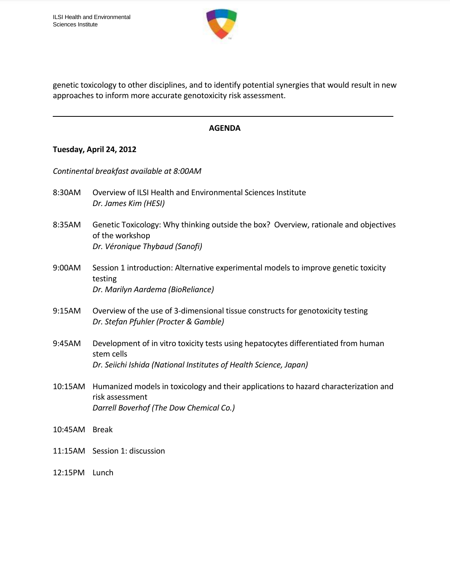

genetic toxicology to other disciplines, and to identify potential synergies that would result in new approaches to inform more accurate genotoxicity risk assessment.

#### **AGENDA**

#### **Tuesday, April 24, 2012**

*Continental breakfast available at 8:00AM*

- 8:30AM Overview of ILSI Health and Environmental Sciences Institute *Dr. James Kim (HESI)*
- 8:35AM Genetic Toxicology: Why thinking outside the box? Overview, rationale and objectives of the workshop *Dr. Véronique Thybaud (Sanofi)*
- 9:00AM Session 1 introduction: Alternative experimental models to improve genetic toxicity testing *Dr. Marilyn Aardema (BioReliance)*
- 9:15AM Overview of the use of 3-dimensional tissue constructs for genotoxicity testing *Dr. Stefan Pfuhler (Procter & Gamble)*
- 9:45AM Development of in vitro toxicity tests using hepatocytes differentiated from human stem cells *Dr. Seiichi Ishida (National Institutes of Health Science, Japan)*
- 10:15AM Humanized models in toxicology and their applications to hazard characterization and risk assessment *Darrell Boverhof (The Dow Chemical Co.)*
- 10:45AM Break
- 11:15AM Session 1: discussion
- 12:15PM Lunch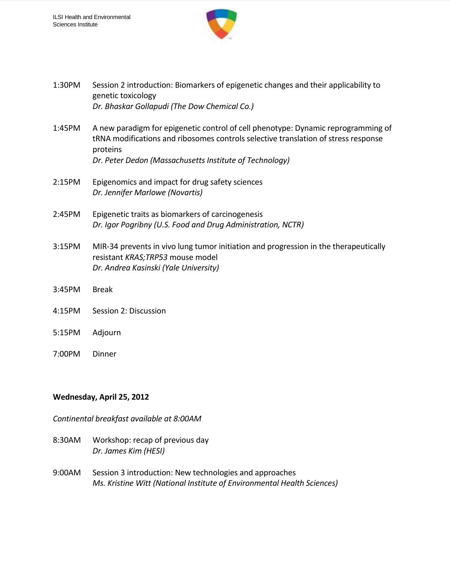

1:30PM Session 2 introduction: Biomarkers of epigenetic changes and their applicability to genetic toxicology *Dr. Bhaskar Gollapudi (The Dow Chemical Co.)* 1:45PM A new paradigm for epigenetic control of cell phenotype: Dynamic reprogramming of tRNA modifications and ribosomes controls selective translation of stress response proteins *Dr. Peter Dedon (Massachusetts Institute of Technology)* 2:15PM Epigenomics and impact for drug safety sciences *Dr. Jennifer Marlowe (Novartis)* 2:45PM Epigenetic traits as biomarkers of carcinogenesis *Dr. Igor Pogribny (U.S. Food and Drug Administration, NCTR)* 3:15PM MIR-34 prevents in vivo lung tumor initiation and progression in the therapeutically resistant *KRAS;TRP53* mouse model *Dr. Andrea Kasinski (Yale University)* 3:45PM Break 4:15PM Session 2: Discussion 5:15PM Adjourn 7:00PM Dinner

## **Wednesday, April 25, 2012**

*Continental breakfast available at 8:00AM*

- 8:30AM Workshop: recap of previous day *Dr. James Kim (HESI)*
- 9:00AM Session 3 introduction: New technologies and approaches *Ms. Kristine Witt (National Institute of Environmental Health Sciences)*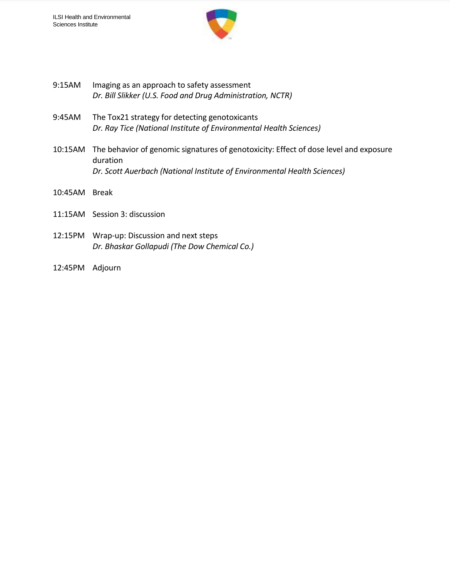

- 9:15AM Imaging as an approach to safety assessment *Dr. Bill Slikker (U.S. Food and Drug Administration, NCTR)*
- 9:45AM The Tox21 strategy for detecting genotoxicants *Dr. Ray Tice (National Institute of Environmental Health Sciences)*
- 10:15AM The behavior of genomic signatures of genotoxicity: Effect of dose level and exposure duration *Dr. Scott Auerbach (National Institute of Environmental Health Sciences)*
- 10:45AM Break
- 11:15AM Session 3: discussion
- 12:15PM Wrap-up: Discussion and next steps *Dr. Bhaskar Gollapudi (The Dow Chemical Co.)*
- 12:45PM Adjourn